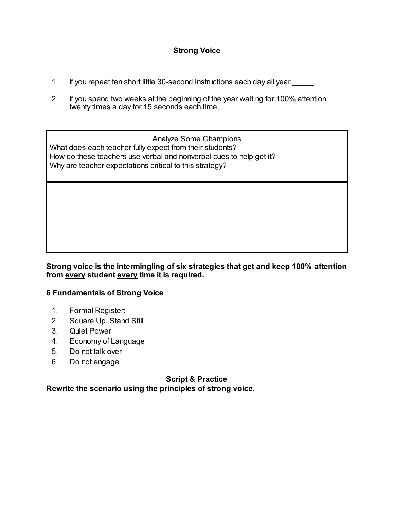## **Strong Voice**

- 1. If you repeat ten short little 30-second instructions each day all year,
- 2. If you spend two weeks at the beginning of the year waiting for 100% attention twenty times a day for 15 seconds each time,

Analyze Some Champions What does each teacher fully expect from their students? How do these teachers use verbal and nonverbal cues to help get it? Why are teacher expectations critical to this strategy?

**Strong voice is the intermingling of six strategies that get and keep 100% attention from every student every time it is required.**

#### **6 Fundamentals of Strong Voice**

- 1. Formal Register:
- 2. Square Up, Stand Still
- 3. Quiet Power
- 4. Economy of Language
- 5. Do not talk over
- 6. Do not engage

**Script & Practice**

**Rewrite the scenario using the principles of strong voice.**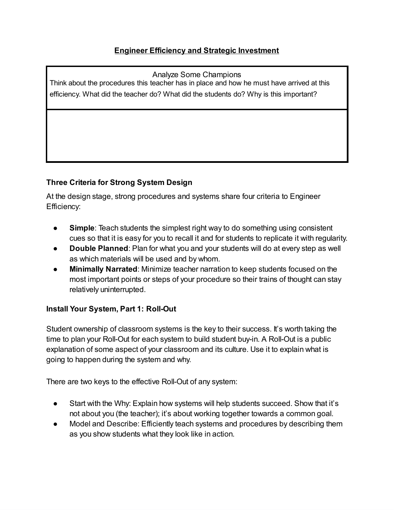Analyze Some Champions

Think about the procedures this teacher has in place and how he must have arrived at this efficiency. What did the teacher do? What did the students do? Why is this important?

# **Three Criteria for Strong System Design**

At the design stage, strong procedures and systems share four criteria to Engineer Efficiency:

- **Simple**: Teach students the simplest right way to do something using consistent cues so that it is easy for you to recall it and for students to replicate it with regularity.
- **Double Planned:** Plan for what you and your students will do at every step as well as which materials will be used and by whom.
- **Minimally Narrated:** Minimize teacher narration to keep students focused on the most important points or steps of your procedure so their trains of thought can stay relatively uninterrupted.

# **Install Your System, Part 1: Roll-Out**

Student ownership of classroom systems is the key to their success. It's worth taking the time to plan your Roll-Out for each system to build student buy-in. A Roll-Out is a public explanation of some aspect of your classroom and its culture. Use it to explain what is going to happen during the system and why.

There are two keys to the effective Roll-Out of any system:

- Start with the Why: Explain how systems will help students succeed. Show that it's not about you (the teacher); it's about working together towards a common goal.
- Model and Describe: Efficiently teach systems and procedures by describing them as you show students what they look like in action.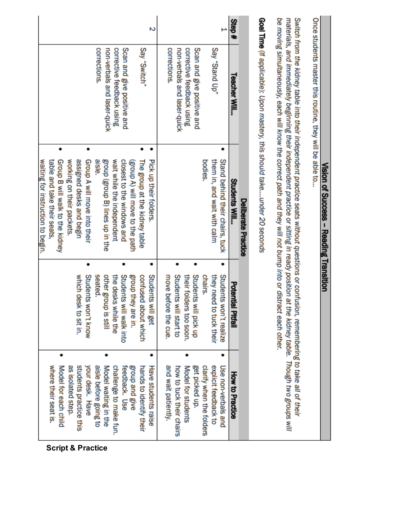| ă |
|---|
|   |
|   |
|   |
|   |
|   |
|   |
|   |
|   |
|   |
|   |
|   |
|   |
|   |
|   |
|   |
|   |
|   |
| ì |
|   |
|   |
|   |
|   |
|   |
|   |
|   |
| ı |
|   |
|   |
|   |
|   |
|   |
|   |
| ť |
| ā |
|   |
|   |

Once students master this routine, they will be able to...

Switch from the kidney table into their independent practice seats without questions or confusion, remembering to take all of their materials, and immediately beginning their independent practice or sitting in ready position at the kidney table. Though two groups will be moving simultaneously, each will know the correct path and they will not bump into or distract each other.

Goal Time (If applicable): Upon mastery, this should take....under 20 seconds

| Step# | Teacher Will                | <b>Students Will</b><br><b>Deliberate Practice</b>             | Potential Pitfall                                 | How to Practice                             |                              |
|-------|-----------------------------|----------------------------------------------------------------|---------------------------------------------------|---------------------------------------------|------------------------------|
|       | Say "Stand Up"              | Stand behind their chairs, tuck<br>them in, and wait with calm | Students won't realize<br>they need to tuck their | explicit feedback to<br>Use non-verbals and |                              |
|       |                             | bodies.                                                        | chairs.                                           | clarify when the folders                    |                              |
|       | Scan and give positive and  |                                                                | Students will pick up                             | get picked up.                              |                              |
|       | corrective feedback using   |                                                                | their folders too soon.                           | Model for students                          |                              |
|       | non-verbals and laser-quick |                                                                | Students will start to                            | how to tuck their chairs                    |                              |
|       | corrections.                |                                                                | move before the cue.                              | and wait patiently.                         |                              |
| N     |                             | Pick up their folders                                          | Students will get                                 | Have students raise                         |                              |
|       | Say "Switch"                | The group at the kidney table                                  | confused<br>about which                           | hands to identify their                     |                              |
|       |                             | (group A) will move to the path                                | group they are in.                                | group and give                              |                              |
|       | Scan and give positive and  | closest to the windows and                                     | Students will walk into                           | feedback. Use                               |                              |
|       | corrective feedback using   | wait while the independent                                     | the desks while the                               | challenge to make fun.                      |                              |
|       | non-verbals and laser-quick | group (group B) lines up in the                                | other group is still                              | Model waiting in the                        |                              |
|       | corrections.                | alsie                                                          | seated.                                           | aisle before going to                       |                              |
|       |                             | Group A will move into their                                   | Students won't know                               | your desk. Have                             | <b>Script &amp; Practice</b> |
|       |                             | assigned desks and begin                                       | which desk to sit in.                             | students practice this                      |                              |
|       |                             | working on their packets.                                      |                                                   | as isolated step.                           |                              |
|       |                             | Group B will walk to the kidney                                |                                                   | Model for each child                        |                              |
|       |                             | table and take their seats,                                    |                                                   | where their seat is.                        |                              |
|       |                             | waiting for instruction to begin.                              |                                                   |                                             |                              |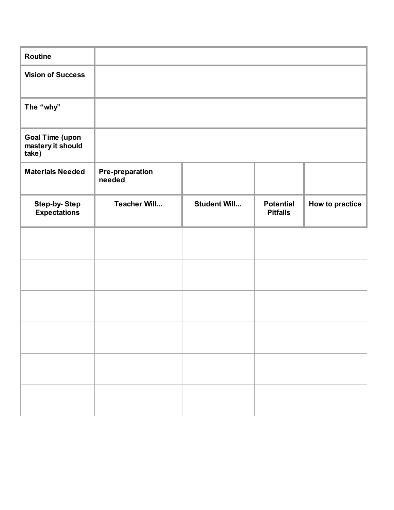| <b>Routine</b>                                       |                                  |                     |                                     |                 |
|------------------------------------------------------|----------------------------------|---------------------|-------------------------------------|-----------------|
| <b>Vision of Success</b>                             |                                  |                     |                                     |                 |
| The "why"                                            |                                  |                     |                                     |                 |
| <b>Goal Time (upon</b><br>mastery it should<br>take) |                                  |                     |                                     |                 |
| <b>Materials Needed</b>                              | <b>Pre-preparation</b><br>needed |                     |                                     |                 |
| <b>Step-by-Step</b><br><b>Expectations</b>           | <b>Teacher Will</b>              | <b>Student Will</b> | <b>Potential</b><br><b>Pitfalls</b> | How to practice |
|                                                      |                                  |                     |                                     |                 |
|                                                      |                                  |                     |                                     |                 |
|                                                      |                                  |                     |                                     |                 |
|                                                      |                                  |                     |                                     |                 |
|                                                      |                                  |                     |                                     |                 |
|                                                      |                                  |                     |                                     |                 |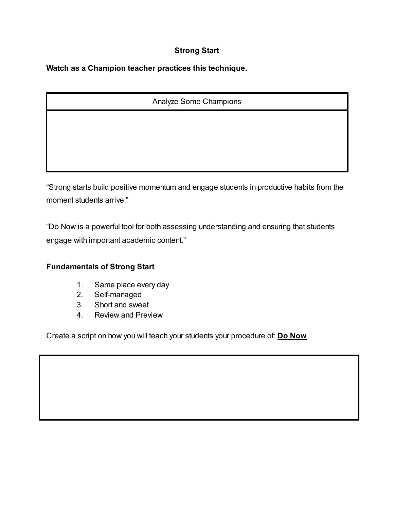# **Strong Start**

**Watch as a Champion teacher practices this technique.**

### Analyze Some Champions

"Strong starts build positive momentum and engage students in productive habits from the moment students arrive."

"Do Now is a powerful tool for both assessing understanding and ensuring that students engage with important academic content."

### **Fundamentals of Strong Start**

- 1. Same place every day
- 2. Self-managed
- 3. Short and sweet
- 4. Review and Preview

Create a script on how you will teach your students your procedure of: **Do Now**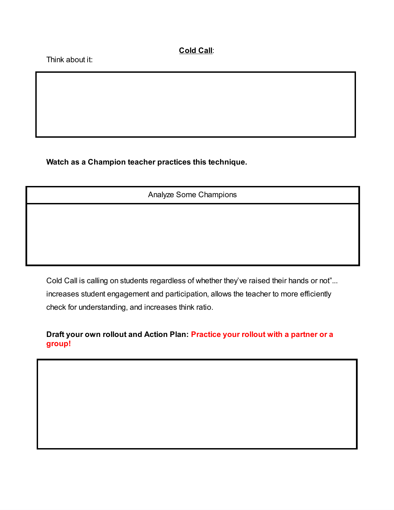**Cold Call**:

Think about it:

**Watch as a Champion teacher practices this technique.**

Analyze Some Champions

Cold Call is calling on students regardless of whether they've raised their hands or not"... increases student engagement and participation, allows the teacher to more efficiently check for understanding, and increases think ratio.

**Draft your own rollout and Action Plan: Practice your rollout with a partner or a group!**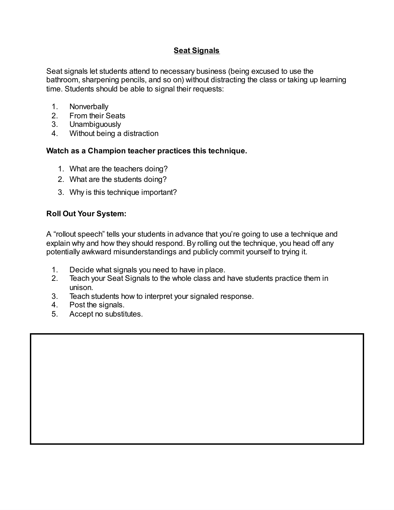# **Seat Signals**

Seat signals let students attend to necessary business (being excused to use the bathroom, sharpening pencils, and so on) without distracting the class or taking up learning time. Students should be able to signal their requests:

- 1. Nonverbally
- 2. From their Seats
- 3. Unambiguously
- 4. Without being a distraction

#### **Watch as a Champion teacher practices this technique.**

- 1. What are the teachers doing?
- 2. What are the students doing?
- 3. Why is this technique important?

### **Roll Out Your System:**

A "rollout speech" tells your students in advance that you're going to use a technique and explain why and how they should respond. By rolling out the technique, you head off any potentially awkward misunderstandings and publicly commit yourself to trying it.

- 1. Decide what signals you need to have in place.
- 2. Teach your Seat Signals to the whole class and have students practice them in unison.
- 3. Teach students how to interpret your signaled response.
- 4. Post the signals.
- 5. Accept no substitutes.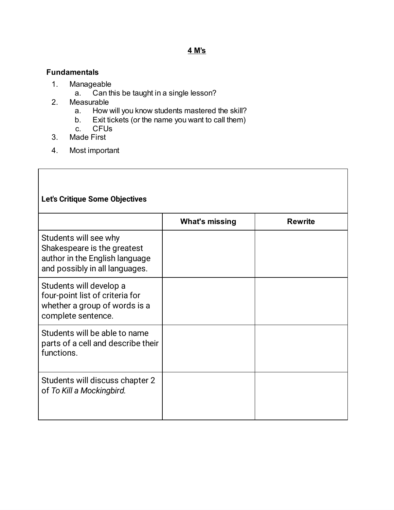# **Fundamentals**

- 1. Manageable<br>a. Canth
	- Can this be taught in a single lesson?
- 2. Measurable
	- a. How will you know students mastered the skill?
	- b. Exit tickets (or the name you want to call them)<br>c. CFUs
	- CFUs
- 3. Made First

 $\mathsf{l}$ 

4. Most important

| Let's Critique Some Objectives                                                                                           |                       |                |
|--------------------------------------------------------------------------------------------------------------------------|-----------------------|----------------|
|                                                                                                                          | <b>What's missing</b> | <b>Rewrite</b> |
| Students will see why<br>Shakespeare is the greatest<br>author in the English language<br>and possibly in all languages. |                       |                |
| Students will develop a<br>four-point list of criteria for<br>whether a group of words is a<br>complete sentence.        |                       |                |
| Students will be able to name<br>parts of a cell and describe their<br>functions.                                        |                       |                |
| Students will discuss chapter 2<br>of To Kill a Mockingbird.                                                             |                       |                |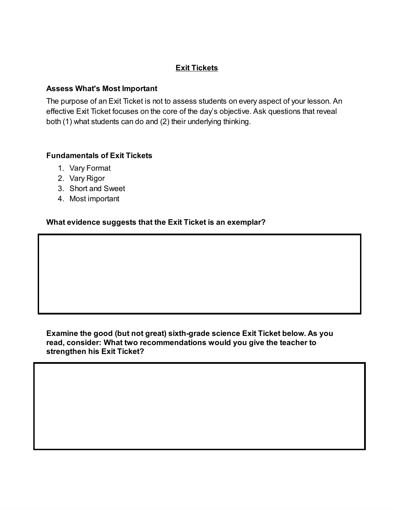## **Exit Tickets**

#### **Assess What's Most Important**

The purpose of an Exit Ticket is not to assess students on every aspect of your lesson. An effective Exit Ticket focuses on the core of the day's objective. Ask questions that reveal both (1) what students can do and (2) their underlying thinking.

### **Fundamentals of Exit Tickets**

- 1. Vary Format
- 2. Vary Rigor
- 3. Short and Sweet
- 4. Most important

### **What evidence suggests that the Exit Ticket is an exemplar?**

#### **Examine the good (but not great) sixth-grade science Exit Ticket below. As you read, consider: What two recommendations would you give the teacher to strengthen his Exit Ticket?**